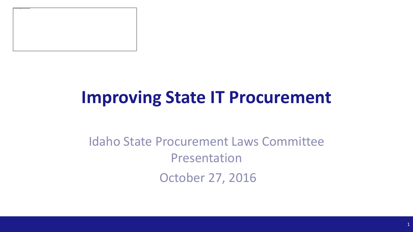

# **Improving State IT Procurement**

#### Idaho State Procurement Laws Committee Presentation October 27, 2016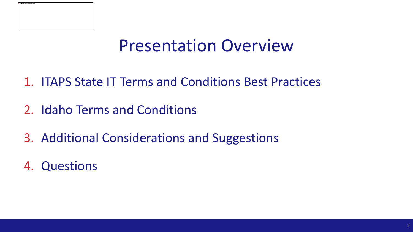

#### Presentation Overview

- 1. ITAPS State IT Terms and Conditions Best Practices
- 2. Idaho Terms and Conditions
- 3. Additional Considerations and Suggestions
- 4. Questions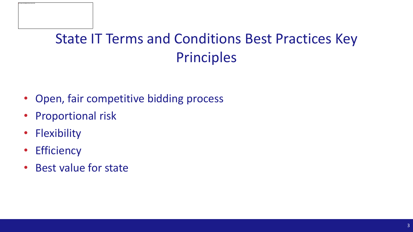#### State IT Terms and Conditions Best Practices Key Principles

- Open, fair competitive bidding process
- Proportional risk
- Flexibility
- Efficiency
- Best value for state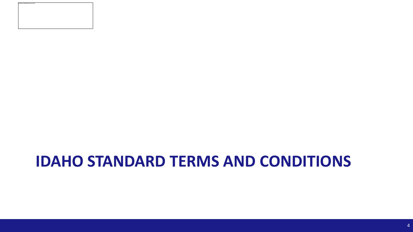

#### **IDAHO STANDARD TERMS AND CONDITIONS**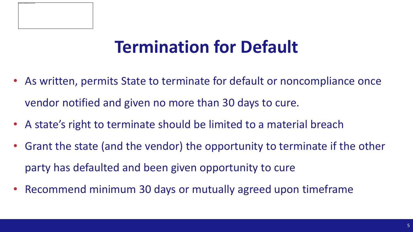

# **Termination for Default**

- As written, permits State to terminate for default or noncompliance once vendor notified and given no more than 30 days to cure.
- A state's right to terminate should be limited to a material breach
- Grant the state (and the vendor) the opportunity to terminate if the other party has defaulted and been given opportunity to cure
- Recommend minimum 30 days or mutually agreed upon timeframe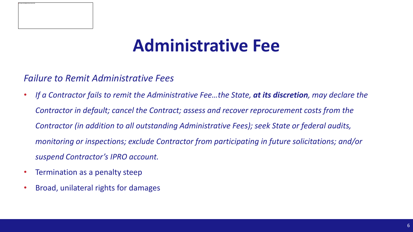

## **Administrative Fee**

#### *Failure to Remit Administrative Fees*

- *If a Contractor fails to remit the Administrative Fee…the State, at its discretion, may declare the Contractor in default; cancel the Contract; assess and recover reprocurement costs from the Contractor (in addition to all outstanding Administrative Fees); seek State or federal audits, monitoring or inspections; exclude Contractor from participating in future solicitations; and/or suspend Contractor's IPRO account.*
- Termination as a penalty steep
- Broad, unilateral rights for damages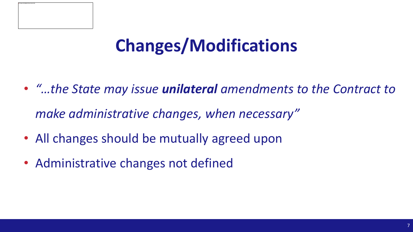

# **Changes/Modifications**

- *"…the State may issue unilateral amendments to the Contract to make administrative changes, when necessary"*
- All changes should be mutually agreed upon
- Administrative changes not defined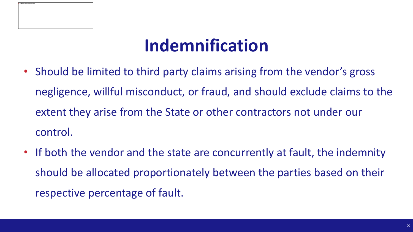

# **Indemnification**

- Should be limited to third party claims arising from the vendor's gross negligence, willful misconduct, or fraud, and should exclude claims to the extent they arise from the State or other contractors not under our control.
- If both the vendor and the state are concurrently at fault, the indemnity should be allocated proportionately between the parties based on their respective percentage of fault.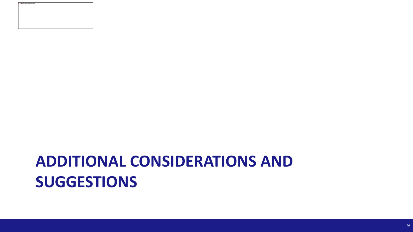### **ADDITIONAL CONSIDERATIONS AND SUGGESTIONS**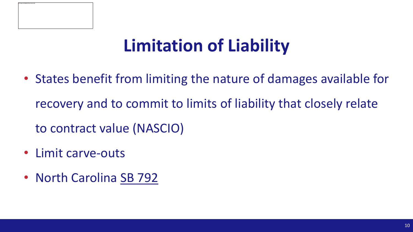

# **Limitation of Liability**

- States benefit from limiting the nature of damages available for recovery and to commit to limits of liability that closely relate
	- to contract value (NASCIO)
- Limit carve-outs
- North Carolina SB 792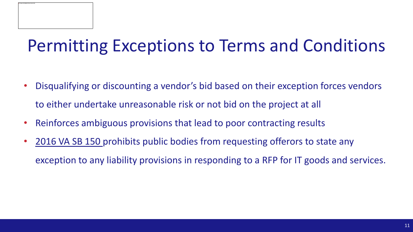# Permitting Exceptions to Terms and Conditions

- Disqualifying or discounting a vendor's bid based on their exception forces vendors to either undertake unreasonable risk or not bid on the project at all
- Reinforces ambiguous provisions that lead to poor contracting results
- [2016 VA SB 150 p](http://lis.virginia.gov/cgi-bin/legp604.exe?161+sum+SB0150)rohibits public bodies from requesting offerors to state any exception to any liability provisions in responding to a RFP for IT goods and services.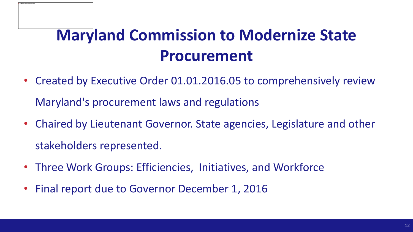## **Maryland Commission to Modernize State Procurement**

- Created by Executive Order 01.01.2016.05 to comprehensively review Maryland's procurement laws and regulations
- Chaired by Lieutenant Governor. State agencies, Legislature and other stakeholders represented.
- Three Work Groups: Efficiencies, Initiatives, and Workforce
- Final report due to Governor December 1, 2016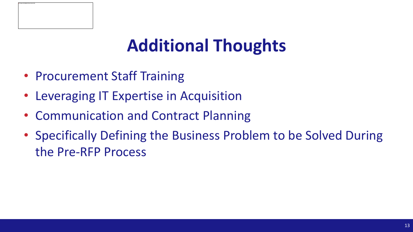

# **Additional Thoughts**

- Procurement Staff Training
- Leveraging IT Expertise in Acquisition
- Communication and Contract Planning
- Specifically Defining the Business Problem to be Solved During the Pre-RFP Process